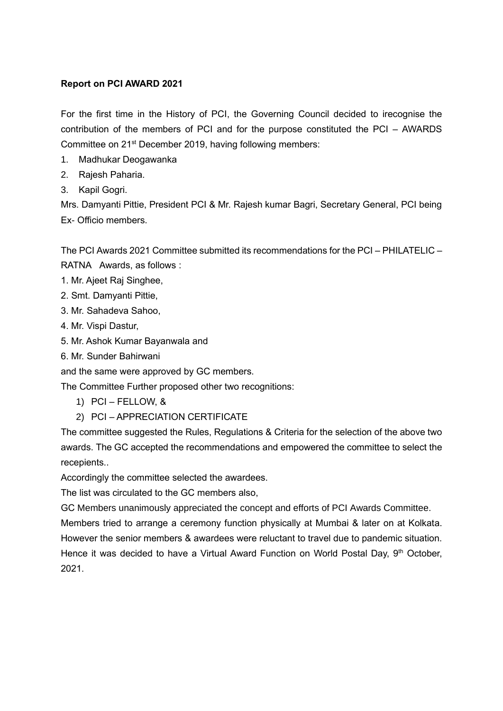## **Report on PCI AWARD 2021**

For the first time in the History of PCI, the Governing Council decided to irecognise the contribution of the members of PCI and for the purpose constituted the PCI – AWARDS Committee on 21st December 2019, having following members:

- 1. Madhukar Deogawanka
- 2. Rajesh Paharia.
- 3. Kapil Gogri.

Mrs. Damyanti Pittie, President PCI & Mr. Rajesh kumar Bagri, Secretary General, PCI being Ex- Officio members.

The PCI Awards 2021 Committee submitted its recommendations for the PCI – PHILATELIC – RATNA Awards, as follows :

- 1. Mr. Ajeet Raj Singhee,
- 2. Smt. Damyanti Pittie,
- 3. Mr. Sahadeva Sahoo,
- 4. Mr. Vispi Dastur,
- 5. Mr. Ashok Kumar Bayanwala and
- 6. Mr. Sunder Bahirwani

and the same were approved by GC members.

The Committee Further proposed other two recognitions:

- 1) PCI FELLOW, &
- 2) PCI APPRECIATION CERTIFICATE

The committee suggested the Rules, Regulations & Criteria for the selection of the above two awards. The GC accepted the recommendations and empowered the committee to select the recepients..

Accordingly the committee selected the awardees.

The list was circulated to the GC members also,

GC Members unanimously appreciated the concept and efforts of PCI Awards Committee.

Members tried to arrange a ceremony function physically at Mumbai & later on at Kolkata. However the senior members & awardees were reluctant to travel due to pandemic situation. Hence it was decided to have a Virtual Award Function on World Postal Day, 9th October, 2021.